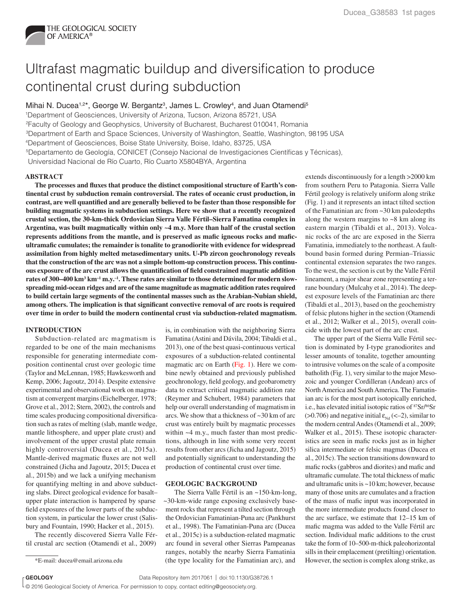

# Ultrafast magmatic buildup and diversification to produce continental crust during subduction

Mihai N. Ducea<sup>1,2\*</sup>, George W. Bergantz<sup>3</sup>, James L. Crowley<sup>4</sup>, and Juan Otamendi<sup>5</sup>

1Department of Geosciences, University of Arizona, Tucson, Arizona 85721, USA

2Faculty of Geology and Geophysics, University of Bucharest, Bucharest 010041, Romania

3Department of Earth and Space Sciences, University of Washington, Seattle, Washington, 98195 USA

4Department of Geosciences, Boise State University, Boise, Idaho, 83725, USA

5Departamento de Geología, CONICET (Consejo Nacional de Investigaciones Científicas y Técnicas),

Universidad Nacional de Río Cuarto, Río Cuarto X5804BYA, Argentina

# **ABSTRACT**

**The processes and fluxes that produce the distinct compositional structure of Earth's continental crust by subduction remain controversial. The rates of oceanic crust production, in contrast, are well quantified and are generally believed to be faster than those responsible for building magmatic systems in subduction settings. Here we show that a recently recognized crustal section, the 30-km-thick Ordovician Sierra Valle Fértil–Sierra Famatina complex in Argentina, was built magmatically within only ~4 m.y. More than half of the crustal section represents additions from the mantle, and is preserved as mafic igneous rocks and maficultramafic cumulates; the remainder is tonalite to granodiorite with evidence for widespread assimilation from highly melted metasedimentary units. U-Pb zircon geochronology reveals that the construction of the arc was not a simple bottom-up construction process. This continuous exposure of the arc crust allows the quantification of field constrained magmatic addition**  rates of 300–400 km<sup>3</sup> km<sup>-1</sup> m.y.<sup>-1</sup>. These rates are similar to those determined for modern slow**spreading mid-ocean ridges and are of the same magnitude as magmatic addition rates required to build certain large segments of the continental masses such as the Arabian-Nubian shield, among others. The implication is that significant convective removal of arc roots is required over time in order to build the modern continental crust via subduction-related magmatism.**

# **INTRODUCTION**

Subduction-related arc magmatism is regarded to be one of the main mechanisms responsible for generating intermediate composition continental crust over geologic time (Taylor and McLennan, 1985; Hawkesworth and Kemp, 2006; Jagoutz, 2014). Despite extensive experimental and observational work on magmatism at convergent margins (Eichelberger, 1978; Grove et al., 2012; Stern, 2002), the controls and time scales producing compositional diversification such as rates of melting (slab, mantle wedge, mantle lithosphere, and upper plate crust) and involvement of the upper crustal plate remain highly controversial (Ducea et al., 2015a). Mantle-derived magmatic fluxes are not well constrained (Jicha and Jagoutz, 2015; Ducea et al., 2015b) and we lack a unifying mechanism for quantifying melting in and above subducting slabs. Direct geological evidence for basalt– upper plate interaction is hampered by sparse field exposures of the lower parts of the subduction system, in particular the lower crust (Salisbury and Fountain, 1990; Hacker et al., 2015).

The recently discovered Sierra Valle Fértil crustal arc section (Otamendi et al., 2009)

is, in combination with the neighboring Sierra Famatina (Astini and Dávila, 2004; Tibaldi et al., 2013), one of the best quasi-continuous vertical exposures of a subduction-related continental magmatic arc on Earth (Fig. 1). Here we combine newly obtained and previously published geochronology, field geology, and geobarometry data to extract critical magmatic addition rate (Reymer and Schubert, 1984) parameters that help our overall understanding of magmatism in arcs. We show that a thickness of ~30 km of arc crust was entirely built by magmatic processes within ~4 m.y., much faster than most predictions, although in line with some very recent results from other arcs (Jicha and Jagoutz, 2015) and potentially significant to understanding the production of continental crust over time.

### **GEOLOGIC BACKGROUND**

The Sierra Valle Fértil is an ~150-km-long, ~30-km-wide range exposing exclusively basement rocks that represent a tilted section through the Ordovician Famatinian-Puna arc (Pankhurst et al., 1998). The Famatinian-Puna arc (Ducea et al., 2015c) is a subduction-related magmatic arc found in several other Sierras Pampeanas ranges, notably the nearby Sierra Famatinia (the type locality for the Famatinian arc), and \*E-mail: ducea@email.arizona.edu However, the section is complex along strike, as

extends discontinuously for a length >2000 km from southern Peru to Patagonia. Sierra Valle Fértil geology is relatively uniform along strike (Fig. 1) and it represents an intact tilted section of the Famatinian arc from ~30 km paleodepths along the western margins to  $\sim 8$  km along its eastern margin (Tibaldi et al., 2013). Volcanic rocks of the arc are exposed in the Sierra Famatinia, immediately to the northeast. A faultbound basin formed during Permian–Triassic continental extension separates the two ranges. To the west, the section is cut by the Valle Fértil lineament, a major shear zone representing a terrane boundary (Mulcahy et al., 2014). The deepest exposure levels of the Famatinian arc there (Tibaldi et al., 2013), based on the geochemistry of felsic plutons higher in the section (Otamendi et al., 2012; Walker et al., 2015), overall coincide with the lowest part of the arc crust.

The upper part of the Sierra Valle Fértil section is dominated by I-type granodiorites and lesser amounts of tonalite, together amounting to intrusive volumes on the scale of a composite batholith (Fig. 1), very similar to the major Mesozoic and younger Cordilleran (Andean) arcs of North America and South America. The Famatinian arc is for the most part isotopically enriched, i.e., has elevated initial isotopic ratios of 87Sr/86Sr ( $>0.706$ ) and negative initial  $\varepsilon_{Nd}$  (<–2), similar to the modern central Andes (Otamendi et al., 2009; Walker et al., 2015). These isotopic characteristics are seen in mafic rocks just as in higher silica intermediate or felsic magmas (Ducea et al., 2015c). The section transitions downward to mafic rocks (gabbros and diorites) and mafic and ultramafic cumulate. The total thickness of mafic and ultramafic units is ~10 km; however, because many of those units are cumulates and a fraction of the mass of mafic input was incorporated in the more intermediate products found closer to the arc surface, we estimate that 12–15 km of mafic magma was added to the Valle Fértil arc section. Individual mafic additions to the crust take the form of 10–500-m-thick paleohorizontal sills in their emplacement (pretilting) orientation.

**GEOLOGY COLOGY**<br> **COLOGY**<br> **COLOGY** 

<sup>© 2016</sup> Geological Society of America. For permission to copy, contact editing@geosociety.org.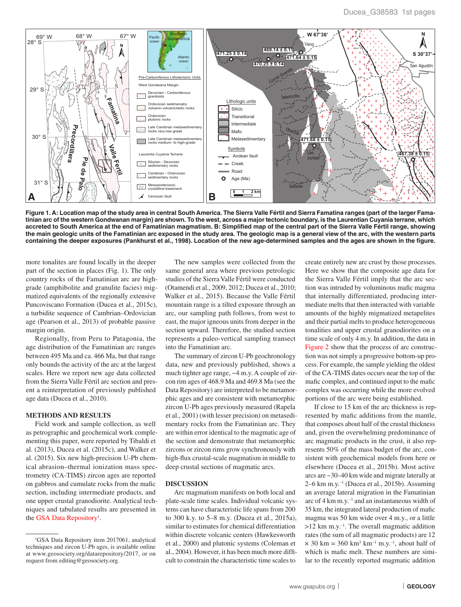

**Figure 1. A: Location map of the study area in central South America. The Sierra Valle Fértil and Sierra Famatina ranges (part of the larger Famatinian arc of the western Gondwanan margin) are shown. To the west, across a major tectonic boundary, is the Laurentian Cuyania terrane, which accreted to South America at the end of Famatinian magmatism. B: Simplified map of the central part of the Sierra Valle Fértil range, showing the main geologic units of the Famatinian arc exposed in the study area. The geologic map is a general view of the arc, with the western parts containing the deeper exposures (Pankhurst et al., 1998). Location of the new age-determined samples and the ages are shown in the figure.**

more tonalites are found locally in the deeper part of the section in places (Fig. 1). The only country rocks of the Famatinian arc are highgrade (amphibolite and granulite facies) migmatized equivalents of the regionally extensive Puncoviscano Formation (Ducea et al., 2015c), a turbidite sequence of Cambrian–Ordovician age (Pearson et al., 2013) of probable passive margin origin.

Regionally, from Peru to Patagonia, the age distribution of the Famatinian arc ranges between 495 Ma and ca. 466 Ma, but that range only bounds the activity of the arc at the largest scales. Here we report new age data collected from the Sierra Valle Fértil arc section and present a reinterpretation of previously published age data (Ducea et al., 2010).

#### **METHODS AND RESULTS**

Field work and sample collection, as well as petrographic and geochemical work complementing this paper, were reported by Tibaldi et al. (2013), Ducea et al. (2015c), and Walker et al. (2015). Six new high-precision U-Pb chemical abrasion–thermal ionization mass spectrometry (CA-TIMS) zircon ages are reported on gabbros and cumulate rocks from the mafic section, including intermediate products, and one upper crustal granodiorite. Analytical techniques and tabulated results are presented in the GSA Data Repository<sup>1</sup>.

The new samples were collected from the same general area where previous petrologic studies of the Sierra Valle Fértil were conducted (Otamendi et al., 2009, 2012; Ducea et al., 2010; Walker et al., 2015). Because the Valle Fértil mountain range is a tilted exposure through an arc, our sampling path follows, from west to east, the major igneous units from deeper in the section upward. Therefore, the studied section represents a paleo-vertical sampling transect into the Famatinian arc.

The summary of zircon U-Pb geochronology data, new and previously published, shows a much tighter age range, ~4 m.y. A couple of zircon rim ages of 468.9 Ma and 469.8 Ma (see the Data Repository) are interpreted to be metamorphic ages and are consistent with metamorphic zircon U-Pb ages previously measured (Rapela et al., 2001) (with lesser precision) on metasedimentary rocks from the Famatinian arc. They are within error identical to the magmatic age of the section and demonstrate that metamorphic zircons or zircon rims grow synchronously with high-flux crustal-scale magmatism in middle to deep crustal sections of magmatic arcs.

#### **DISCUSSION**

Arc magmatism manifests on both local and plate-scale time scales. Individual volcanic systems can have characteristic life spans from 200 to 300 k.y. to 5–8 m.y. (Ducea et al., 2015a), similar to estimates for chemical differentiation within discrete volcanic centers (Hawkesworth et al., 2000) and plutonic systems (Coleman et al., 2004). However, it has been much more difficult to constrain the characteristic time scales to

create entirely new arc crust by those processes. Here we show that the composite age data for the Sierra Valle Fértil imply that the arc section was intruded by voluminous mafic magma that internally differentiated, producing intermediate melts that then interacted with variable amounts of the highly migmatized metapelites and their partial melts to produce heterogeneous tonalities and upper crustal granodiorites on a time scale of only 4 m.y. In addition, the data in Figure 2 show that the process of arc construction was not simply a progressive bottom-up process. For example, the sample yielding the oldest of the CA-TIMS dates occurs near the top of the mafic complex, and continued input to the mafic complex was occurring while the more evolved portions of the arc were being established.

If close to 15 km of the arc thickness is represented by mafic additions from the mantle, that composes about half of the crustal thickness and, given the overwhelming predominance of arc magmatic products in the crust, it also represents 50% of the mass budget of the arc, consistent with geochemical models from here or elsewhere (Ducea et al., 2015b). Most active arcs are ~30–40 km wide and migrate laterally at  $2-6$  km m.y.<sup>-1</sup> (Ducea et al., 2015b). Assuming an average lateral migration in the Famatinian arc of 4 km m.y. $^{-1}$  and an instantaneous width of 35 km, the integrated lateral production of mafic magma was 50 km wide over 4 m.y., or a little  $>12$  km m.y.<sup>-1</sup>. The overall magmatic addition rates (the sum of all magmatic products) are 12  $\times$  30 km = 360 km<sup>3</sup> km<sup>-1</sup> m.y.<sup>-1</sup>, about half of which is mafic melt. These numbers are similar to the recently reported magmatic addition

<sup>&</sup>lt;sup>1</sup>GSA Data Repository item 2017061, analytical techniques and zircon U-Pb ages, is available online at www.geosociety.org/datarepository/2017, or on request from editing@geosociety.org.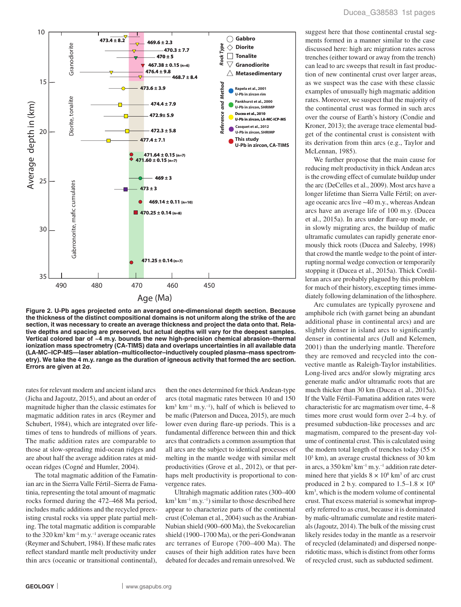

**Figure 2. U-Pb ages projected onto an averaged one-dimensional depth section. Because the thickness of the distinct compositional domains is not uniform along the strike of the arc section, it was necessary to create an average thickness and project the data onto that. Relative depths and spacing are preserved, but actual depths will vary for the deepest samples. Vertical colored bar of ~4 m.y. bounds the new high-precision chemical abrasion–thermal ionization mass spectrometry (CA-TIMS) data and overlaps uncertainties in all available data (LA-MC–ICP-MS—laser ablation–multicollector–inductively coupled plasma–mass spectrometry). We take the 4 m.y. range as the duration of igneous activity that formed the arc section. Errors are given at 2**s**.**

rates for relevant modern and ancient island arcs (Jicha and Jagoutz, 2015), and about an order of magnitude higher than the classic estimates for magmatic addition rates in arcs (Reymer and Schubert, 1984), which are integrated over lifetimes of tens to hundreds of millions of years. The mafic addition rates are comparable to those at slow-spreading mid-ocean ridges and are about half the average addition rates at midocean ridges (Cogné and Humler, 2004).

The total magmatic addition of the Famatinian arc in the Sierra Valle Fértil–Sierra de Famatinia, representing the total amount of magmatic rocks formed during the 472–468 Ma period, includes mafic additions and the recycled preexisting crustal rocks via upper plate partial melting. The total magmatic addition is comparable to the  $320 \text{ km}^3 \text{ km}^{-1} \text{ m}$ .y.<sup>-1</sup> average oceanic rates (Reymer and Schubert, 1984). If these mafic rates reflect standard mantle melt productivity under thin arcs (oceanic or transitional continental),

then the ones determined for thick Andean-type arcs (total magmatic rates between 10 and 150  $km<sup>3</sup> km<sup>-1</sup> m.y.<sup>-1</sup>$ ), half of which is believed to be mafic (Paterson and Ducea, 2015), are much lower even during flare-up periods. This is a fundamental difference between thin and thick arcs that contradicts a common assumption that all arcs are the subject to identical processes of melting in the mantle wedge with similar melt productivities (Grove et al., 2012), or that perhaps melt productivity is proportional to convergence rates.

Ultrahigh magmatic addition rates (300–400  $km<sup>3</sup> km<sup>-1</sup> m.y<sup>-1</sup>$ ) similar to those described here appear to characterize parts of the continental crust (Coleman et al., 2004) such as the Arabian-Nubian shield (900–600 Ma), the Svekocarelian shield (1900–1700 Ma), or the peri-Gondwanan arc terranes of Europe (700–400 Ma). The causes of their high addition rates have been debated for decades and remain unresolved. We

suggest here that those continental crustal segments formed in a manner similar to the case discussed here: high arc migration rates across trenches (either toward or away from the trench) can lead to arc sweeps that result in fast production of new continental crust over larger areas, as we suspect was the case with these classic examples of unusually high magmatic addition rates. Moreover, we suspect that the majority of the continental crust was formed in such arcs over the course of Earth's history (Condie and Kroner, 2013); the average trace elemental budget of the continental crust is consistent with its derivation from thin arcs (e.g., Taylor and McLennan, 1985).

We further propose that the main cause for reducing melt productivity in thick Andean arcs is the crowding effect of cumulate buildup under the arc (DeCelles et al., 2009). Most arcs have a longer lifetime than Sierra Valle Fértil; on average oceanic arcs live ~40 m.y., whereas Andean arcs have an average life of 100 m.y. (Ducea et al., 2015a). In arcs under flare-up mode, or in slowly migrating arcs, the buildup of mafic ultramafic cumulates can rapidly generate enormously thick roots (Ducea and Saleeby, 1998) that crowd the mantle wedge to the point of interrupting normal wedge convection or temporarily stopping it (Ducea et al., 2015a). Thick Cordilleran arcs are probably plagued by this problem for much of their history, excepting times immediately following delamination of the lithosphere.

Arc cumulates are typically pyroxene and amphibole rich (with garnet being an abundant additional phase in continental arcs) and are slightly denser in island arcs to significantly denser in continental arcs (Jull and Kelemen, 2001) than the underlying mantle. Therefore they are removed and recycled into the convective mantle as Raleigh-Taylor instabilities. Long-lived arcs and/or slowly migrating arcs generate mafic and/or ultramafic roots that are much thicker than 30 km (Ducea et al., 2015a). If the Valle Fértil–Famatina addition rates were characteristic for arc magmatism over time, 4–8 times more crust would form over 2–4 b.y. of presumed subduction-like processes and arc magmatism, compared to the present-day volume of continental crust. This is calculated using the modern total length of trenches today (55  $\times$ 103 km), an average crustal thickness of 30 km in arcs, a  $350 \mathrm{km}^3 \mathrm{km}^{-1}$  m.y.<sup>-1</sup> addition rate determined here that yields  $8 \times 10^8$  km<sup>3</sup> of arc crust produced in 2 b.y. compared to  $1.5-1.8 \times 10^8$ km3 , which is the modern volume of continental crust. That excess material is somewhat improperly referred to as crust, because it is dominated by mafic-ultramafic cumulate and restite materials (Jagoutz, 2014). The bulk of the missing crust likely resides today in the mantle as a reservoir of recycled (delaminated) and dispersed nonperidotitic mass, which is distinct from other forms of recycled crust, such as subducted sediment.